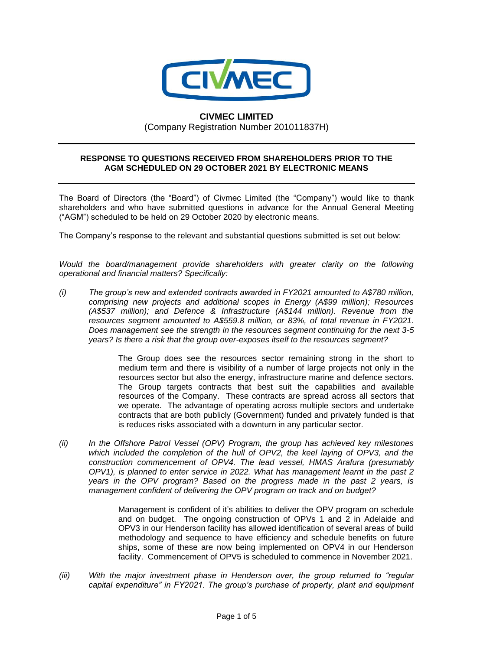

## **CIVMEC LIMITED**

(Company Registration Number 201011837H)

## **RESPONSE TO QUESTIONS RECEIVED FROM SHAREHOLDERS PRIOR TO THE AGM SCHEDULED ON 29 OCTOBER 2021 BY ELECTRONIC MEANS**

The Board of Directors (the "Board") of Civmec Limited (the "Company") would like to thank shareholders and who have submitted questions in advance for the Annual General Meeting ("AGM") scheduled to be held on 29 October 2020 by electronic means.

The Company's response to the relevant and substantial questions submitted is set out below:

*Would the board/management provide shareholders with greater clarity on the following operational and financial matters? Specifically:* 

*(i) The group's new and extended contracts awarded in FY2021 amounted to A\$780 million, comprising new projects and additional scopes in Energy (A\$99 million); Resources (A\$537 million); and Defence & Infrastructure (A\$144 million). Revenue from the resources segment amounted to A\$559.8 million, or 83%, of total revenue in FY2021. Does management see the strength in the resources segment continuing for the next 3-5 years? Is there a risk that the group over-exposes itself to the resources segment?* 

> The Group does see the resources sector remaining strong in the short to medium term and there is visibility of a number of large projects not only in the resources sector but also the energy, infrastructure marine and defence sectors. The Group targets contracts that best suit the capabilities and available resources of the Company. These contracts are spread across all sectors that we operate. The advantage of operating across multiple sectors and undertake contracts that are both publicly (Government) funded and privately funded is that is reduces risks associated with a downturn in any particular sector.

*(ii) In the Offshore Patrol Vessel (OPV) Program, the group has achieved key milestones which included the completion of the hull of OPV2, the keel laying of OPV3, and the construction commencement of OPV4. The lead vessel, HMAS Arafura (presumably OPV1), is planned to enter service in 2022. What has management learnt in the past 2 years in the OPV program? Based on the progress made in the past 2 years, is management confident of delivering the OPV program on track and on budget?* 

> Management is confident of it's abilities to deliver the OPV program on schedule and on budget. The ongoing construction of OPVs 1 and 2 in Adelaide and OPV3 in our Henderson facility has allowed identification of several areas of build methodology and sequence to have efficiency and schedule benefits on future ships, some of these are now being implemented on OPV4 in our Henderson facility. Commencement of OPV5 is scheduled to commence in November 2021.

*(iii) With the major investment phase in Henderson over, the group returned to "regular capital expenditure" in FY2021. The group's purchase of property, plant and equipment*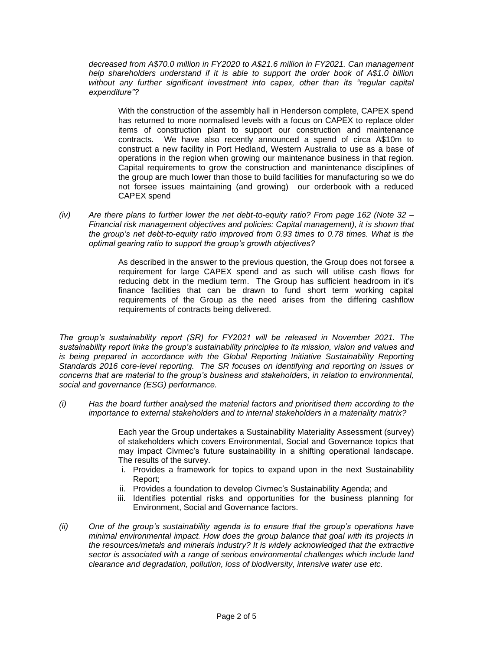*decreased from A\$70.0 million in FY2020 to A\$21.6 million in FY2021. Can management help shareholders understand if it is able to support the order book of A\$1.0 billion without any further significant investment into capex, other than its "regular capital expenditure"?* 

With the construction of the assembly hall in Henderson complete, CAPEX spend has returned to more normalised levels with a focus on CAPEX to replace older items of construction plant to support our construction and maintenance contracts. We have also recently announced a spend of circa A\$10m to construct a new facility in Port Hedland, Western Australia to use as a base of operations in the region when growing our maintenance business in that region. Capital requirements to grow the construction and manintenance disciplines of the group are much lower than those to build facilities for manufacturing so we do not forsee issues maintaining (and growing) our orderbook with a reduced CAPEX spend

*(iv) Are there plans to further lower the net debt-to-equity ratio? From page 162 (Note 32 – Financial risk management objectives and policies: Capital management), it is shown that the group's net debt-to-equity ratio improved from 0.93 times to 0.78 times. What is the optimal gearing ratio to support the group's growth objectives?*

> As described in the answer to the previous question, the Group does not forsee a requirement for large CAPEX spend and as such will utilise cash flows for reducing debt in the medium term. The Group has sufficient headroom in it's finance facilities that can be drawn to fund short term working capital requirements of the Group as the need arises from the differing cashflow requirements of contracts being delivered.

*The group's sustainability report (SR) for FY2021 will be released in November 2021. The sustainability report links the group's sustainability principles to its mission, vision and values and is being prepared in accordance with the Global Reporting Initiative Sustainability Reporting Standards 2016 core-level reporting. The SR focuses on identifying and reporting on issues or concerns that are material to the group's business and stakeholders, in relation to environmental, social and governance (ESG) performance.* 

*(i) Has the board further analysed the material factors and prioritised them according to the importance to external stakeholders and to internal stakeholders in a materiality matrix?* 

> Each year the Group undertakes a Sustainability Materiality Assessment (survey) of stakeholders which covers Environmental, Social and Governance topics that may impact Civmec's future sustainability in a shifting operational landscape. The results of the survey.

- i. Provides a framework for topics to expand upon in the next Sustainability Report;
- ii. Provides a foundation to develop Civmec's Sustainability Agenda; and
- iii. Identifies potential risks and opportunities for the business planning for Environment, Social and Governance factors.
- *(ii) One of the group's sustainability agenda is to ensure that the group's operations have minimal environmental impact. How does the group balance that goal with its projects in the resources/metals and minerals industry? It is widely acknowledged that the extractive sector is associated with a range of serious environmental challenges which include land clearance and degradation, pollution, loss of biodiversity, intensive water use etc.*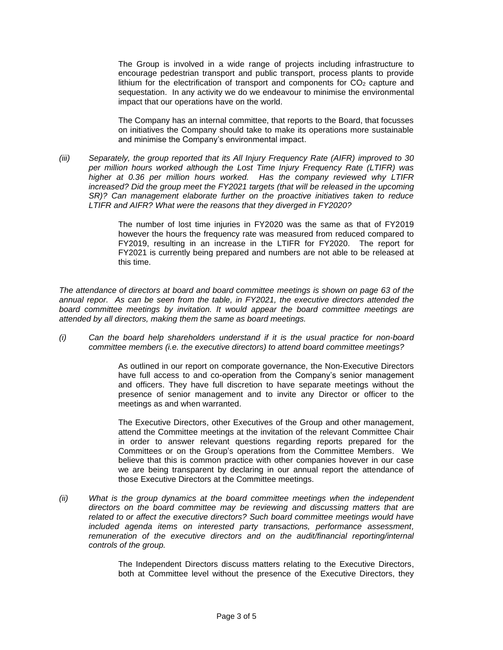The Group is involved in a wide range of projects including infrastructure to encourage pedestrian transport and public transport, process plants to provide lithium for the electrification of transport and components for  $CO<sub>2</sub>$  capture and sequestation. In any activity we do we endeavour to minimise the environmental impact that our operations have on the world.

The Company has an internal committee, that reports to the Board, that focusses on initiatives the Company should take to make its operations more sustainable and minimise the Company's environmental impact.

*(iii) Separately, the group reported that its All Injury Frequency Rate (AIFR) improved to 30 per million hours worked although the Lost Time Injury Frequency Rate (LTIFR) was higher at 0.36 per million hours worked. Has the company reviewed why LTIFR increased? Did the group meet the FY2021 targets (that will be released in the upcoming SR)? Can management elaborate further on the proactive initiatives taken to reduce LTIFR and AIFR? What were the reasons that they diverged in FY2020?* 

> The number of lost time injuries in FY2020 was the same as that of FY2019 however the hours the frequency rate was measured from reduced compared to FY2019, resulting in an increase in the LTIFR for FY2020. The report for FY2021 is currently being prepared and numbers are not able to be released at this time.

*The attendance of directors at board and board committee meetings is shown on page 63 of the annual repor. As can be seen from the table, in FY2021, the executive directors attended the board committee meetings by invitation. It would appear the board committee meetings are attended by all directors, making them the same as board meetings.* 

*(i) Can the board help shareholders understand if it is the usual practice for non-board committee members (i.e. the executive directors) to attend board committee meetings?* 

> As outlined in our report on comporate governance, the Non-Executive Directors have full access to and co-operation from the Company's senior management and officers. They have full discretion to have separate meetings without the presence of senior management and to invite any Director or officer to the meetings as and when warranted.

> The Executive Directors, other Executives of the Group and other management, attend the Committee meetings at the invitation of the relevant Committee Chair in order to answer relevant questions regarding reports prepared for the Committees or on the Group's operations from the Committee Members. We believe that this is common practice with other companies hovever in our case we are being transparent by declaring in our annual report the attendance of those Executive Directors at the Committee meetings.

*(ii) What is the group dynamics at the board committee meetings when the independent directors on the board committee may be reviewing and discussing matters that are related to or affect the executive directors? Such board committee meetings would have included agenda items on interested party transactions, performance assessment,* remuneration of the executive directors and on the audit/financial reporting/internal *controls of the group.* 

> The Independent Directors discuss matters relating to the Executive Directors, both at Committee level without the presence of the Executive Directors, they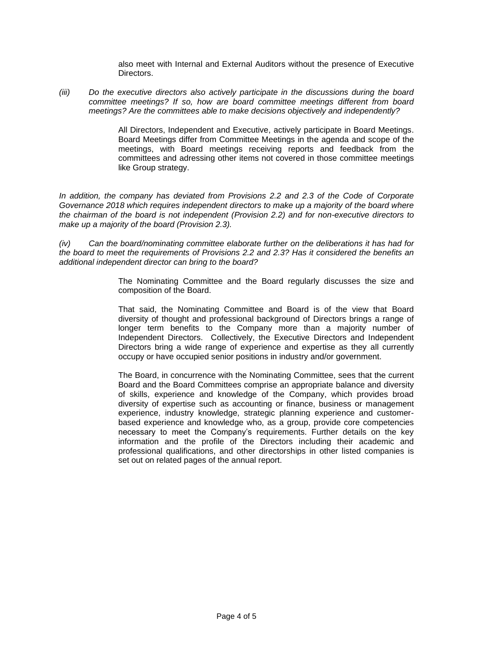also meet with Internal and External Auditors without the presence of Executive Directors.

*(iii) Do the executive directors also actively participate in the discussions during the board committee meetings? If so, how are board committee meetings different from board meetings? Are the committees able to make decisions objectively and independently?* 

> All Directors, Independent and Executive, actively participate in Board Meetings. Board Meetings differ from Committee Meetings in the agenda and scope of the meetings, with Board meetings receiving reports and feedback from the committees and adressing other items not covered in those committee meetings like Group strategy.

*In addition, the company has deviated from Provisions 2.2 and 2.3 of the Code of Corporate Governance 2018 which requires independent directors to make up a majority of the board where the chairman of the board is not independent (Provision 2.2) and for non-executive directors to make up a majority of the board (Provision 2.3).* 

*(iv) Can the board/nominating committee elaborate further on the deliberations it has had for the board to meet the requirements of Provisions 2.2 and 2.3? Has it considered the benefits an additional independent director can bring to the board?* 

> The Nominating Committee and the Board regularly discusses the size and composition of the Board.

> That said, the Nominating Committee and Board is of the view that Board diversity of thought and professional background of Directors brings a range of longer term benefits to the Company more than a majority number of Independent Directors. Collectively, the Executive Directors and Independent Directors bring a wide range of experience and expertise as they all currently occupy or have occupied senior positions in industry and/or government.

> The Board, in concurrence with the Nominating Committee, sees that the current Board and the Board Committees comprise an appropriate balance and diversity of skills, experience and knowledge of the Company, which provides broad diversity of expertise such as accounting or finance, business or management experience, industry knowledge, strategic planning experience and customerbased experience and knowledge who, as a group, provide core competencies necessary to meet the Company's requirements. Further details on the key information and the profile of the Directors including their academic and professional qualifications, and other directorships in other listed companies is set out on related pages of the annual report.